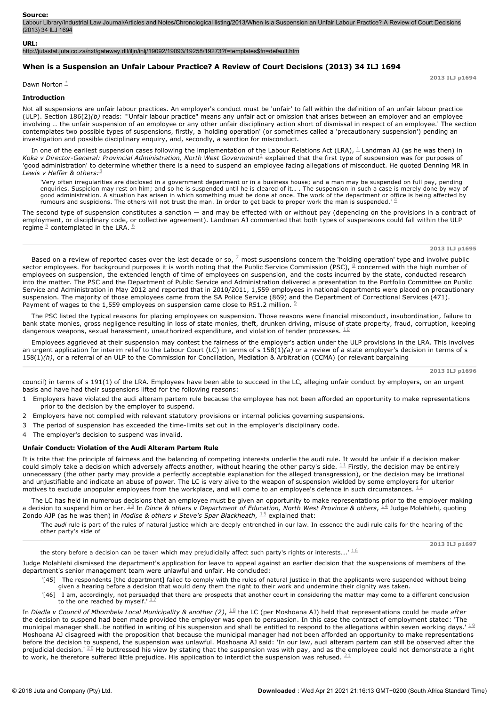### **Source:**

Labour Library/Industrial Law Journal/Articles and Notes/Chronological listing/2013/When is a Suspension an Unfair Labour Practice? A Review of Court Decisions (2013) 34 ILJ 1694

#### **URL:**

http://jutastat.juta.co.za/nxt/gateway.dll/iljn/inlj/19092/19093/19258/19273?f=templates\$fn=default.htm

## **When is a Suspension an Unfair Labour Practice? A Review of Court Decisions (2013) 34 ILJ 1694**

Dawn Norton  $\stackrel{*}{\text{-}}$ 

#### **Introduction**

Not all suspensions are unfair labour practices. An employer's conduct must be 'unfair' to fall within the definition of an unfair labour practice (ULP). Section 186(2)*(b)* reads: '"Unfair labour practice" means any unfair act or omission that arises between an employer and an employee involving … the unfair suspension of an employee or any other unfair disciplinary action short of dismissal in respect of an employee.' The section contemplates two possible types of suspensions, firstly, a 'holding operation' (or sometimes called a 'precautionary suspension') pending an investigation and possible disciplinary enquiry, and, secondly, a sanction for misconduct.

In one of the earliest suspension cases following the implementation of the Labour Relations Act (LRA),  $^{\perp}$  Landman AJ (as he was then) in Koka v Director-General: Provincial Administration, North West Government<sup>2</sup> explained that the first type of suspension was for purposes of 'good administration' to determine whether there is a need to suspend an employee facing allegations of misconduct. He quoted Denning MR in *Lewis v Heffer & others:* 3

'Very often irregularities are disclosed in a government department or in a business house; and a man may be suspended on full pay, pending enquiries. Suspicion may rest on him; and so he is suspended until he is cleared of it… . The suspension in such a case is merely done by way of<br>good administration. A situation has arisen in which something must be done a rumours and suspicions. The others will not trust the man. In order to get back to proper work the man is suspended.'  $4$ 

The second type of suspension constitutes a sanction — and may be effected with or without pay (depending on the provisions in a contract of employment, or disciplinary code, or collective agreement). Landman AJ commented that both types of suspensions could fall within the ULP regime  $\frac{5}{2}$  contemplated in the LRA.  $\frac{6}{2}$ 

## **2013 ILJ p1695**

Based on a review of reported cases over the last decade or so,  $^{\mathbb{Z}}$  most suspensions concern the 'holding operation' type and involve public sector employees. For background purposes it is worth noting that the Public Service Commission (PSC),  $\frac{8}{5}$  concerned with the high number of employees on suspension, the extended length of time of employees on suspension, and the costs incurred by the state, conducted research into the matter. The PSC and the Department of Public Service and Administration delivered a presentation to the Portfolio Committee on Public Service and Administration in May 2012 and reported that in 2010/2011, 1,559 employees in national departments were placed on precautionary suspension. The majority of those employees came from the SA Police Service (869) and the Department of Correctional Services (471). Payment of wages to the 1,559 employees on suspension came close to R51.2 million.  $9$ 

The PSC listed the typical reasons for placing employees on suspension. Those reasons were financial misconduct, insubordination, failure to bank state monies, gross negligence resulting in loss of state monies, theft, drunken driving, misuse of state property, fraud, corruption, keeping dangerous weapons, sexual harassment, unauthorized expenditure, and violation of tender processes.  $^{\underline{10}}$ 

Employees aggrieved at their suspension may contest the fairness of the employer's action under the ULP provisions in the LRA. This involves an urgent application for interim relief to the Labour Court (LC) in terms of s 158(1)*(a)* or a review of a state employer's decision in terms of s 158(1)*(h)*, or a referral of an ULP to the Commission for Conciliation, Mediation & Arbitration (CCMA) (or relevant bargaining

**2013 ILJ p1696**

council) in terms of s 191(1) of the LRA. Employees have been able to succeed in the LC, alleging unfair conduct by employers, on an urgent basis and have had their suspensions lifted for the following reasons:

- 1 Employers have violated the audi alteram partem rule because the employee has not been afforded an opportunity to make representations prior to the decision by the employer to suspend.
- 2 Employers have not complied with relevant statutory provisions or internal policies governing suspensions.
- 3 The period of suspension has exceeded the timelimits set out in the employer's disciplinary code.
- 4 The employer's decision to suspend was invalid.

#### **Unfair Conduct: Violation of the Audi Alteram Partem Rule**

It is trite that the principle of fairness and the balancing of competing interests underlie the audi rule. It would be unfair if a decision maker could simply take a decision which adversely affects another, without hearing the other party's side.  $^{\pm 1}$  Firstly, the decision may be entirely unnecessary (the other party may provide a perfectly acceptable explanation for the alleged transgression), or the decision may be irrational and unjustifiable and indicate an abuse of power. The LC is very alive to the weapon of suspension wielded by some employers for ulterior motives to exclude unpopular employees from the workplace, and will come to an employee's defence in such circumstances.  $^{12}$ 

The LC has held in numerous decisions that an employee must be given an opportunity to make representations prior to the employer making a decision to suspend him or her. <sup>13</sup> In *Dince & others v Department of Education, North West Province & others,*  $^{\pm 4}$  Judge Molahlehi, quoting Zondo AJP (as he was then) in *Modise & others v Steve's Spar Blackheath*, <sup>15</sup> explained that:

'The *audi* rule is part of the rules of natural justice which are deeply entrenched in our law. In essence the audi rule calls for the hearing of the other party's side of

the story before a decision can be taken which may prejudicially affect such party's rights or interests....'  $^{\underline{16}}$ 

**2013 ILJ p1697**

Judge Molahlehi dismissed the department's application for leave to appeal against an earlier decision that the suspensions of members of the department's senior management team were unlawful and unfair. He concluded:

- [45] The respondents [the department] failed to comply with the rules of natural justice in that the applicants were suspended without being<br>given a hearing before a decision that would deny them the right to their work an
	- '[46] I am, accordingly, not persuaded that there are prospects that another court in considering the matter may come to a different conclusion to the one reached by myself.' 17

In *Dladla v Council of Mbombela Local Municipality & another (2),*  $^{\underline{18}}$  *the LC (per Moshoana AJ) held that representations could be made <i>after* the decision to suspend had been made provided the employer was open to persuasion. In this case the contract of employment stated: 'The municipal manager shall…be notified in writing of his suspension and shall be entitled to respond to the allegations within seven working days.'  $^{\underline{19}}$ Moshoana AJ disagreed with the proposition that because the municipal manager had not been afforded an opportunity to make representations before the decision to suspend, the suspension was unlawful. Moshoana AJ said: 'In our law, audi alteram partem can still be observed after the prejudicial decision.' <sup>20</sup> He buttressed his view by stating that the suspension was with pay, and as the employee could not demonstrate a right to work, he therefore suffered little prejudice. His application to interdict the suspension was refused.  $^{\underline{2}\,\underline{1}}$ 

**2013 ILJ p1694**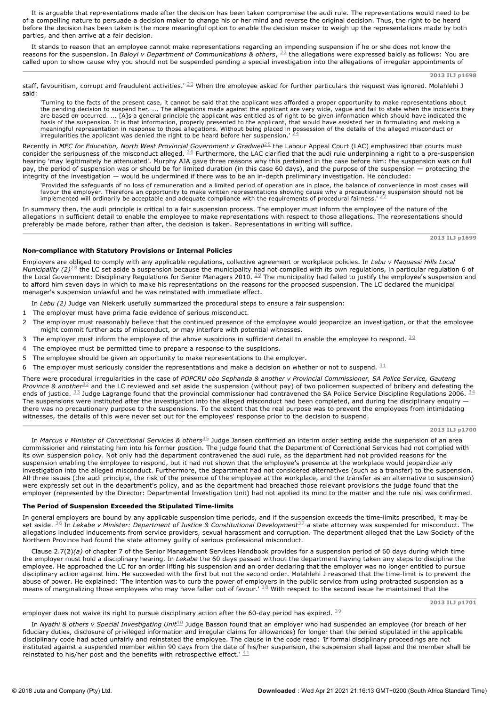It is arguable that representations made after the decision has been taken compromise the audi rule. The representations would need to be of a compelling nature to persuade a decision maker to change his or her mind and reverse the original decision. Thus, the right to be heard before the decision has been taken is the more meaningful option to enable the decision maker to weigh up the representations made by both parties, and then arrive at a fair decision.

It stands to reason that an employee cannot make representations regarding an impending suspension if he or she does not know the reasons for the suspension. In *Baloyi v Department of Communications & others*, <sup>22</sup> the allegations were expressed baldly as follows: You are called upon to show cause why you should not be suspended pending a special investigation into the allegations of irregular appointments of

staff, favouritism, corrupt and fraudulent activities.'  $^{23}$  When the employee asked for further particulars the request was ignored. Molahlehi J said:

'Turning to the facts of the present case, it cannot be said that the applicant was afforded a proper opportunity to make representations about<br>the pending decision to suspend her. … The allegations made against the applic basis of the suspension. It is that information, properly presented to the applicant, that would have assisted her in formulating and making a meaningful representation in response to those allegations. Without being placed in possession of the details of the alleged misconduct or<br>irregularities the applicant was denied the right to be heard before her suspension

Recently in *MEC for Education, North West Provincial Government v Gradwell<sup>25</sup> the Labour Appeal Court (LAC) emphasized that courts must* consider the seriousness of the misconduct alleged.  $^{26}$  Furthermore, the LAC clarified that the audi rule underpinning a right to a pre-suspension hearing 'may legitimately be attenuated'. Murphy AJA gave three reasons why this pertained in the case before him: the suspension was on full pay, the period of suspension was or should be for limited duration (in this case 60 days), and the purpose of the suspension — protecting the integrity of the investigation — would be undermined if there was to be an in-depth preliminary investigation. He concluded:

'Provided the safeguards of no loss of remuneration and a limited period of operation are in place, the balance of convenience in most cases will favour the employer. Therefore an opportunity to make written representations showing cause why a precautionary suspension should not be<br>implemented will ordinarily be accentable and adequate compliance with the requiremen implemented will ordinarily be acceptable and adequate compliance with the requirements of procedural fairness.'

In summary then, the audi principle is critical to a fair suspension process. The employer must inform the employee of the nature of the allegations in sufficient detail to enable the employee to make representations with respect to those allegations. The representations should preferably be made before, rather than after, the decision is taken. Representations in writing will suffice.

**2013 ILJ p1699**

## **Non-compliance with Statutory Provisions or Internal Policies**

Employers are obliged to comply with any applicable regulations, collective agreement or workplace policies. In *Lebu v Maquassi Hills Local Municipality (2)<sup>28</sup> the LC set aside a suspension because the municipality had not complied with its own regulations, in particular regulation 6 of* the Local Government: Disciplinary Regulations for Senior Managers 2010. The municipality had failed to justify the employee's suspension and to afford him seven days in which to make his representations on the reasons for the proposed suspension. The LC declared the municipal manager's suspension unlawful and he was reinstated with immediate effect. 28 29

In *Lebu (2)* Judge van Niekerk usefully summarized the procedural steps to ensure a fair suspension:

- 1 The employer must have prima facie evidence of serious misconduct.
- 2 The employer must reasonably believe that the continued presence of the employee would jeopardize an investigation, or that the employee might commit further acts of misconduct, or may interfere with potential witnesses.
- 3 The employer must inform the employee of the above suspicions in sufficient detail to enable the employee to respond.  $30$
- 4 The employee must be permitted time to prepare a response to the suspicions.
- 5 The employee should be given an opportunity to make representations to the employer.
- 6 The employer must seriously consider the representations and make a decision on whether or not to suspend.  $31$

There were procedural irregularities in the case of *POPCRU obo Sephanda & another v Provincial Commissioner, SA Police Service, Gauteng* Province & another<sup>32</sup> and the LC reviewed and set aside the suspension (without pay) of two policemen suspected of bribery and defeating the ends of justice.  $^{33}$  Judge Lagrange found that the provincial commissioner had contravened the SA Police Service Discipline Regulations 2006.  $^{34}$ The suspensions were instituted after the investigation into the alleged misconduct had been completed, and during the disciplinary enquiry there was no precautionary purpose to the suspensions. To the extent that the real purpose was to prevent the employees from intimidating witnesses, the details of this were never set out for the employees' response prior to the decision to suspend.

**2013 ILJ p1700**

In *Marcus v Minister of Correctional Services & others* $^{\underline{35}}$  *Judge Jansen confirmed an interim order setting aside the suspension of an area* commissioner and reinstating him into his former position. The judge found that the Department of Correctional Services had not complied with its own suspension policy. Not only had the department contravened the audi rule, as the department had not provided reasons for the suspension enabling the employee to respond, but it had not shown that the employee's presence at the workplace would jeopardize any investigation into the alleged misconduct. Furthermore, the department had not considered alternatives (such as a transfer) to the suspension. All three issues (the audi principle, the risk of the presence of the employee at the workplace, and the transfer as an alternative to suspension) were expressly set out in the department's policy, and as the department had breached those relevant provisions the judge found that the employer (represented by the Director: Departmental Investigation Unit) had not applied its mind to the matter and the rule nisi was confirmed.

### **The Period of Suspension Exceeded the Stipulated Timelimits**

In general employers are bound by any applicable suspension time periods, and if the suspension exceeds the timelimits prescribed, it may be set aside. <sup>36</sup> In *Lekabe v Minister: Department of Justice & Constitutional Development* $^{37}$  *a state attorney was suspended for misconduct. The* allegations included inducements from service providers, sexual harassment and corruption. The department alleged that the Law Society of the Northern Province had found the state attorney guilty of serious professional misconduct.

Clause 2.7(2)*(a)* of chapter 7 of the Senior Management Services Handbook provides for a suspension period of 60 days during which time the employer must hold a disciplinary hearing. In *Lekabe* the 60 days passed without the department having taken any steps to discipline the employee. He approached the LC for an order lifting his suspension and an order declaring that the employer was no longer entitled to pursue disciplinary action against him. He succeeded with the first but not the second order. Molahlehi J reasoned that the time-limit is to prevent the abuse of power. He explained: 'The intention was to curb the power of employers in the public service from using protracted suspension as a means of marginalizing those employees who may have fallen out of favour.<sup>138</sup> With respect to the second issue he maintained that the

employer does not waive its right to pursue disciplinary action after the 60-day period has expired.  $\frac{39}{2}$ 

**2013 ILJ p1701**

In *Nyathi & others v Special Investigating Unit* $^{40}$  *Judge Basson found that an employer who had suspended an employee (for breach of her* fiduciary duties, disclosure of privileged information and irregular claims for allowances) for longer than the period stipulated in the applicable disciplinary code had acted unfairly and reinstated the employee. The clause in the code read: *'*If formal disciplinary proceedings are not instituted against a suspended member within 90 days from the date of his/her suspension, the suspension shall lapse and the member shall be reinstated to his/her post and the benefits with retrospective effect.'  $41$ 

**<sup>2013</sup> ILJ p1698**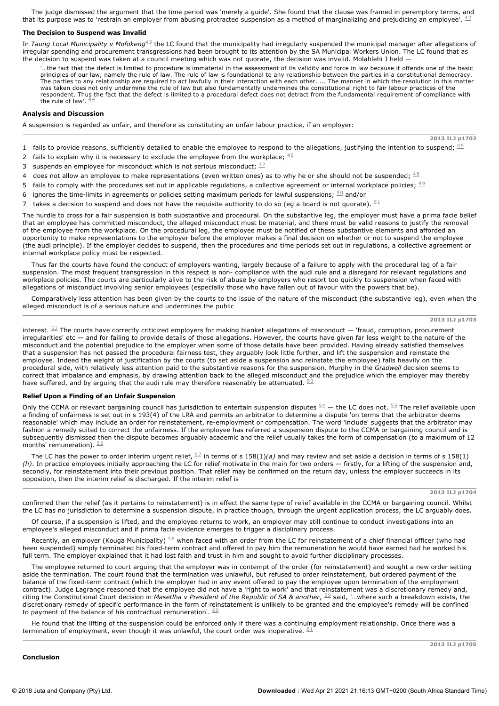The judge dismissed the argument that the time period was 'merely a guide'. She found that the clause was framed in peremptory terms, and that its purpose was to 'restrain an employer from abusing protracted suspension as a method of marginalizing and prejudicing an employee'.  $^{42}$ 

### **The Decision to Suspend was Invalid**

In *Taung Local Municipality v Mofokeng* $^{43}$  the LC found that the municipality had irregularly suspended the municipal manager after allegations of irregular spending and procurement transgressions had been brought to its attention by the SA Municipal Workers Union. The LC found that as the decision to suspend was taken at a council meeting which was not quorate, the decision was invalid. Molahlehi J held —

'…the fact that the defect is limited to procedure is immaterial in the assessment of its validity and force in law because it offends one of the basic principles of our law, namely the rule of law. The rule of law is foundational to any relationship between the parties in a constitutional democracy. The parties to any relationship are required to act lawfully in their interaction with each other. ... The manner in which the resolution in this matter was taken does not only undermine the rule of law but also fundamentally undermines the constitutional right to fair labour practices of the respondent. Thus the fact that the defect is limited to a procedural defect does not detract from the fundamental requirement of compliance with the rule of law'.  $44 \overline{4}$ 

# **Analysis and Discussion**

A suspension is regarded as unfair, and therefore as constituting an unfair labour practice, if an employer:

**2013 ILJ p1702**

- 1 fails to provide reasons, sufficiently detailed to enable the employee to respond to the allegations, justifying the intention to suspend;  $\frac{45}{1}$
- 2 fails to explain why it is necessary to exclude the employee from the workplace;  $46$
- 3 suspends an employee for misconduct which is not serious misconduct;  $47/2$
- 4 does not allow an employee to make representations (even written ones) as to why he or she should not be suspended;  $^{48}$
- 5 fails to comply with the procedures set out in applicable regulations, a collective agreement or internal workplace policies;  $49$
- 6 ignores the time-limits in agreements or policies setting maximum periods for lawful suspensions;  $^{50}$  and/or
- 7 takes a decision to suspend and does not have the requisite authority to do so (eg a board is not quorate).  $51$

The hurdle to cross for a fair suspension is both substantive and procedural. On the substantive leg, the employer must have a prima facie belief that an employee has committed misconduct, the alleged misconduct must be material, and there must be valid reasons to justify the removal of the employee from the workplace. On the procedural leg, the employee must be notified of these substantive elements and afforded an opportunity to make representations to the employer before the employer makes a final decision on whether or not to suspend the employee (the audi principle). If the employer decides to suspend, then the procedures and time periods set out in regulations, a collective agreement or internal workplace policy must be respected.

Thus far the courts have found the conduct of employers wanting, largely because of a failure to apply with the procedural leg of a fair suspension. The most frequent transgression in this respect is non- compliance with the audi rule and a disregard for relevant regulations and workplace policies. The courts are particularly alive to the risk of abuse by employers who resort too quickly to suspension when faced with allegations of misconduct involving senior employees (especially those who have fallen out of favour with the powers that be).

Comparatively less attention has been given by the courts to the issue of the nature of the misconduct (the substantive leg), even when the alleged misconduct is of a serious nature and undermines the public

**2013 ILJ p1703**

interest.  $52$  The courts have correctly criticized employers for making blanket allegations of misconduct  $-$  'fraud, corruption, procurement irregularities' etc — and for failing to provide details of those allegations. However, the courts have given far less weight to the nature of the misconduct and the potential prejudice to the employer when some of those details have been provided. Having already satisfied themselves that a suspension has not passed the procedural fairness test, they arguably look little further, and lift the suspension and reinstate the employee. Indeed the weight of justification by the courts (to set aside a suspension and reinstate the employee) falls heavily on the procedural side, with relatively less attention paid to the substantive reasons for the suspension. Murphy in the *Gradwell* decision seems to correct that imbalance and emphasis, by drawing attention back to the alleged misconduct and the prejudice which the employer may thereby have suffered, and by arguing that the audi rule may therefore reasonably be attenuated.  $^{53}$ 

## **Relief Upon a Finding of an Unfair Suspension**

Only the CCMA or relevant bargaining council has jurisdiction to entertain suspension disputes  $\frac{54}{4}$  — the LC does not.  $\frac{55}{4}$  The relief available upon a finding of unfairness is set out in s 193(4) of the LRA and permits an arbitrator to determine a dispute 'on terms that the arbitrator deems reasonable' which may include an order for reinstatement, re-employment or compensation. The word 'include' suggests that the arbitrator may fashion a remedy suited to correct the unfairness. If the employee has referred a suspension dispute to the CCMA or bargaining council and is subsequently dismissed then the dispute becomes arguably academic and the relief usually takes the form of compensation (to a maximum of 12 months' remuneration).  $56$ 

The LC has the power to order interim urgent relief,  $\frac{57}{2}$  in terms of s 158(1)(a) and may review and set aside a decision in terms of s 158(1) *(h)*. In practice employees initially approaching the LC for relief motivate in the main for two orders — firstly, for a lifting of the suspension and, secondly, for reinstatement into their previous position. That relief may be confirmed on the return day, unless the employer succeeds in its opposition, then the interim relief is discharged. If the interim relief is

**2013 ILJ p1704**

confirmed then the relief (as it pertains to reinstatement) is in effect the same type of relief available in the CCMA or bargaining council. Whilst the LC has no jurisdiction to determine a suspension dispute, in practice though, through the urgent application process, the LC arguably does.

Of course, if a suspension is lifted, and the employee returns to work, an employer may still continue to conduct investigations into an employee's alleged misconduct and if prima facie evidence emerges to trigger a disciplinary process.

Recently, an employer (Kouga Municipality)  $^{58}$  when faced with an order from the LC for reinstatement of a chief financial officer (who had been suspended) simply terminated his fixed-term contract and offered to pay him the remuneration he would have earned had he worked his full term. The employer explained that it had lost faith and trust in him and sought to avoid further disciplinary processes.

The employee returned to court arguing that the employer was in contempt of the order (for reinstatement) and sought a new order setting aside the termination. The court found that the termination was unlawful, but refused to order reinstatement, but ordered payment of the balance of the fixed-term contract (which the employer had in any event offered to pay the employee upon termination of the employment contract). Judge Lagrange reasoned that the employee did not have a 'right to work' and that reinstatement was a discretionary remedy and, citing the Constitutional Court decision in *Masetlha v President of the Republic of SA & another*, <sup>59</sup> said, '…where such a breakdown exists, the discretionary remedy of specific performance in the form of reinstatement is unlikely to be granted and the employee's remedy will be confined to payment of the balance of his contractual remuneration'.  $60$ 

He found that the lifting of the suspension could be enforced only if there was a continuing employment relationship. Once there was a termination of employment, even though it was unlawful, the court order was inoperative.  $\frac{61}{5}$ 

### **Conclusion**

**2013 ILJ p1705**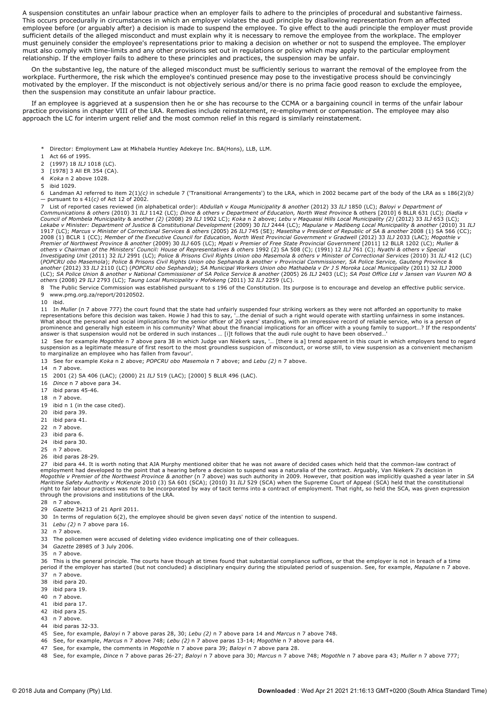A suspension constitutes an unfair labour practice when an employer fails to adhere to the principles of procedural and substantive fairness. This occurs procedurally in circumstances in which an employer violates the audi principle by disallowing representation from an affected employee before (or arguably after) a decision is made to suspend the employee. To give effect to the audi principle the employer must provide sufficient details of the alleged misconduct and must explain why it is necessary to remove the employee from the workplace. The employer must genuinely consider the employee's representations prior to making a decision on whether or not to suspend the employee. The employer must also comply with timelimits and any other provisions set out in regulations or policy which may apply to the particular employment relationship. If the employer fails to adhere to these principles and practices, the suspension may be unfair.

On the substantive leg, the nature of the alleged misconduct must be sufficiently serious to warrant the removal of the employee from the workplace. Furthermore, the risk which the employee's continued presence may pose to the investigative process should be convincingly motivated by the employer. If the misconduct is not objectively serious and/or there is no prima facie good reason to exclude the employee, then the suspension may constitute an unfair labour practice.

If an employee is aggrieved at a suspension then he or she has recourse to the CCMA or a bargaining council in terms of the unfair labour practice provisions in chapter VIII of the LRA. Remedies include reinstatement, re-employment or compensation. The employee may also approach the LC for interim urgent relief and the most common relief in this regard is similarly reinstatement.

- \* Director: Employment Law at Mkhabela Huntley Adekeye Inc. BA(Hons), LLB, LLM.
- 1 Act 66 of 1995.
- 2 (1997) 18 *ILJ* 1018 (LC).
- 3 [1978] 3 All ER 354 (CA).
- 4 *Koka* n 2 above 1028.
- 5 ibid 1029.

6 Landman AJ referred to item 2(1)*(c)* in schedule 7 ('Transitional Arrangements') to the LRA, which in 2002 became part of the body of the LRA as s 186(2)*(b)* — pursuant to s 41(*c)* of Act 12 of 2002.

7 List of reported cases reviewed (in alphabetical order): *Abdullah v Kouga Municipality & another* (2012) 33 *ILJ* 1850 (LC); *Baloyi v Department of* Communications & others (2010) 31 ILJ 1142 (LC); Dince & others v Department of Education, North West Province & others [2010] 6 BLLR 631 (LC); Dladla v<br>Council of Mombela Municipality & another (2) (2008) 29 ILJ 1902 LC); Lekabe v Minister: Department of Justice & Constitutional Development (2009) 30 ILJ 2444 (LC); Mapulane v Madibeng Local Municipality & another (2010) 31 ILJ<br>1917 (LC); Marcus v Minister of Correctional Services & others ( 2008 (1) BCLR 1 (CC); Member of the Executive Council for Education, North West Provincial Government v Gradwell (2012) 33 ILJ 2033 (LAC); Mogothle v<br>Premier of Northwest Province & another (2009) 30 ILJ 605 (LC); Mpati v *others v Chairman of the Ministers' Council: House of Representatives & others* 1992 (2) SA 508 (C); (1991) 12 *ILJ* 761 (C); *Nyathi & others v Special Investigating Unit* (2011) 32 *ILJ* 2991 (LC); *Police & Prisons Civil Rights Union obo Masemola & others v Minister of Correctional Services* (2010) 31 *ILJ* 412 (LC) (POPCRU obo Masemola); Police & Prisons Civil Rights Union obo Sephanda & another v Provincial Commissioner, SA Police Service, Gauteng Province &<br>another (2012) 33 ILJ 2110 (LC) (POPCRU obo Sephanda); SA Municipal Workers

8 The Public Service Commission was established pursuant to s 196 of the Constitution. Its purpose is to encourage and develop an effective public service. 9 www.pmg.org.za/report/20120502.

### 10 ibid.

11 In *Muller* (n 7 above 777) the court found that the state had unfairly suspended four striking workers as they were not afforded an opportunity to make<br>representations before this decision was taken. Howie J had this t answer is that suspension would not be ordered in such instances … [i]t follows that the audi rule ought to have been observed…'

12 See for example *Mogothle* n 7 above para 38 in which Judge van Niekerk says, '*…* [there is a] trend apparent in this court in which employers tend to regard suspension as a legitimate measure of first resort to the most groundless suspicion of misconduct, or worse still, to view suspension as a convenient mechanism to marginalize an employee who has fallen from favour'.

13 See for example *Koka* n 2 above; *POPCRU obo Masemola* n 7 above; and *Lebu (2)* n 7 above.

14 n 7 above.

15 2001 (2) SA 406 (LAC); (2000) 21 *ILJ* 519 (LAC); [2000] 5 BLLR 496 (LAC).

- 16 *Dince* n 7 above para 34.
- $17$  ibid paras  $45-46$ .
- 18 n 7 above.
- 19 ibid n 1 (in the case cited).
- 20 ibid para 39.
- 21 ibid para 41.
- 22 n 7 above.
- 23 ibid para 6.
- 24 ibid para 30.
- 25 n 7 above.
- 26 ibid paras 28-29.

27 ibid para 44. It is worth noting that AJA Murphy mentioned obiter that he was not aware of decided cases which held that the common-law contract of employment had developed to the point that a hearing before a decision to suspend was a naturalia of the contract. Arguably, Van Niekerk J's decision in Mogothle v Premier of the Northwest Province & another (n 7 above) was such authority in 2009. However, that position was implicitly quashed a year later in SA<br>Maritime Safety Authority v McKenzie 2010 (3) SA 601 (SCA); (2 right to fair labour practices was not to be incorporated by way of tacit terms into a contract of employment. That right, so held the SCA, was given expression through the provisions and institutions of the LRA.

- 28 n 7 above.
- 29 *Gazette* 34213 of 21 April 2011.

30 In terms of regulation 6(2), the employee should be given seven days' notice of the intention to suspend.

- 31 *Lebu (2)* n 7 above para 16.
- 32 n 7 above.

33 The policemen were accused of deleting video evidence implicating one of their colleagues.

- 34 *Gazette* 28985 of 3 July 2006.
- 35 n 7 above.

36 This is the general principle. The courts have though at times found that substantial compliance suffices, or that the employer is not in breach of a time period if the employer has started (but not concluded) a disciplinary enquiry during the stipulated period of suspension. See, for example, *Mapulane* n 7 above.

- 37 n 7 above.
- 38 ibid para 20.
- 39 ibid para 19.
- 40 n 7 above.
- 41 ibid para 17.
- 42 ibid para 25.
- 43 n 7 above.
- 44 ibid paras 32-33.
- 45 See, for example, *Baloyi* n 7 above paras 28, 30; *Lebu (2)* n 7 above para 14 and *Marcus* n 7 above 748.
- 46 See, for example, *Marcus* n 7 above 748; *Lebu (2)* n 7 above paras 1314; *Mogothle* n 7 above para 44.
- 47 See, for example, the comments in *Mogothle* n 7 above para 39; *Baloyi* n 7 above para 28.
- 48 See, for example, *Dince* n 7 above paras 2627; *Baloyi* n 7 above para 30; *Marcus* n 7 above 748; *Mogothle* n 7 above para 43; *Muller* n 7 above 777;